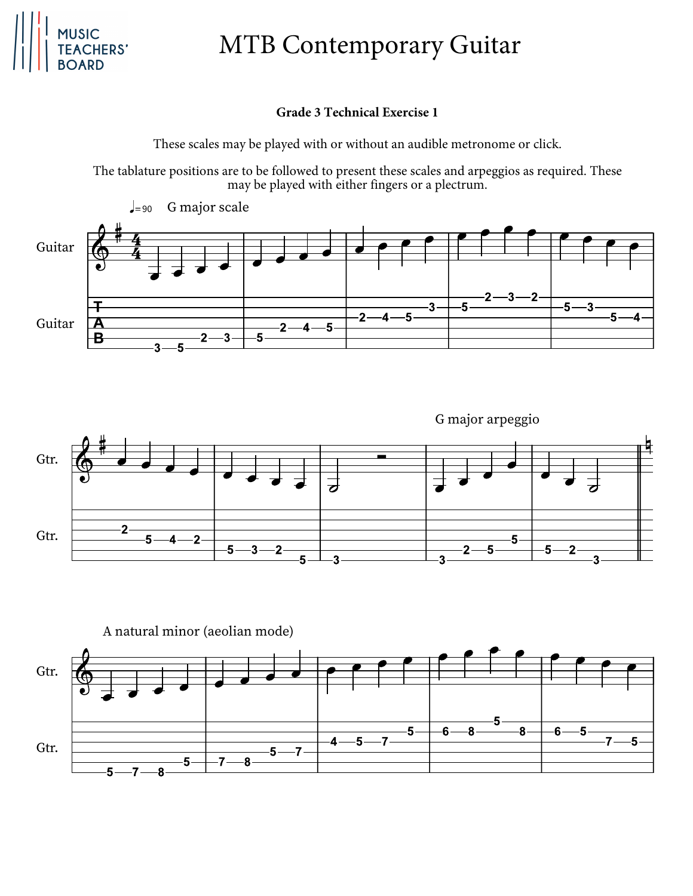

## MTB Contemporary Guitar

## **Grade 3 Technical Exercise 1**

These scales may be played with or without an audible metronome or click.

The tablature positions are to be followed to present these scales and arpeggios as required. These may be played with either fingers or a plectrum.





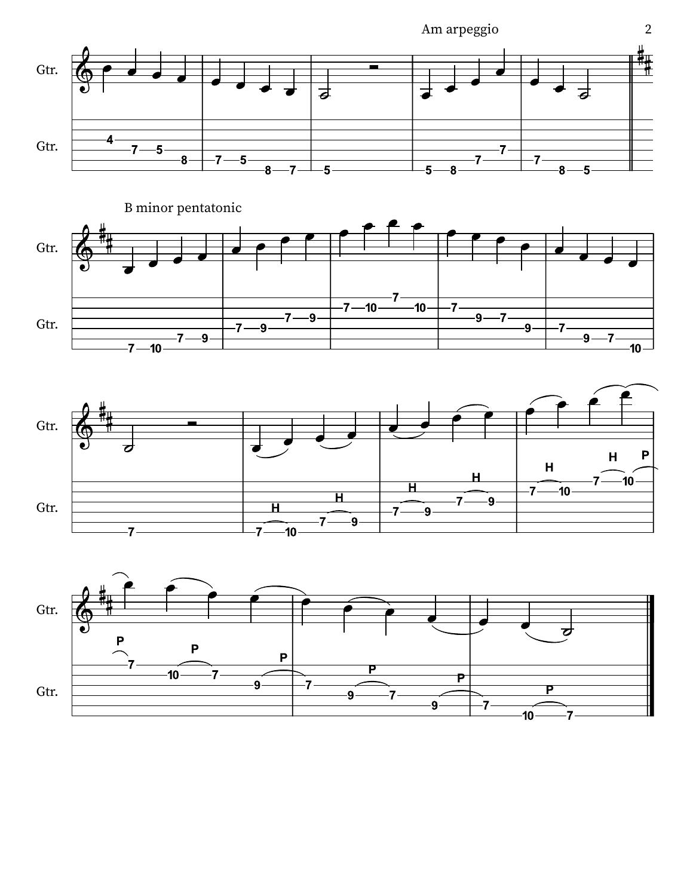





2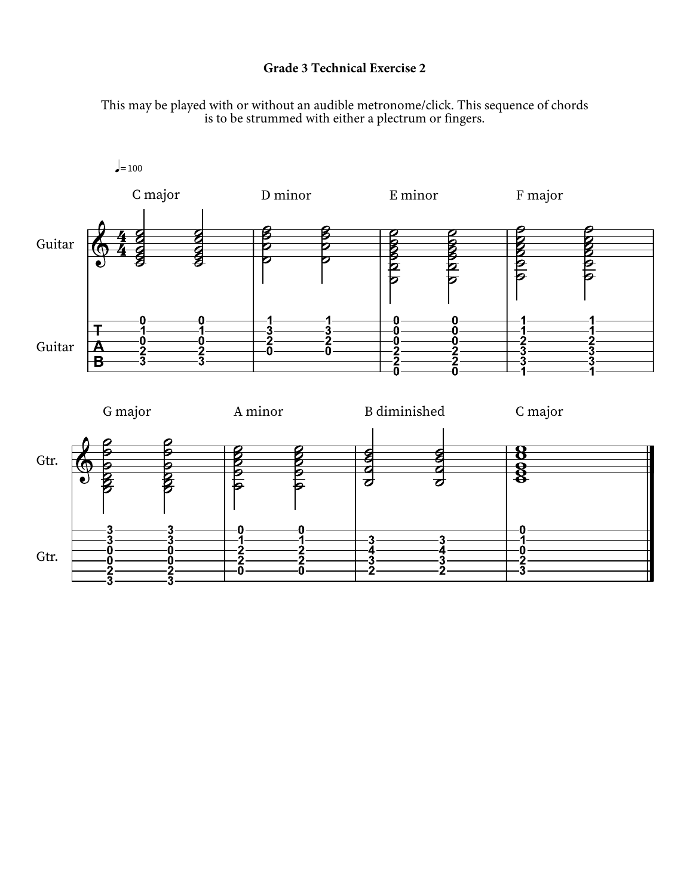## **Grade 3 Technical Exercise 2**

This may be played with or without an audible metronome/click. This sequence of chords is to be strummed with either a plectrum or fingers.